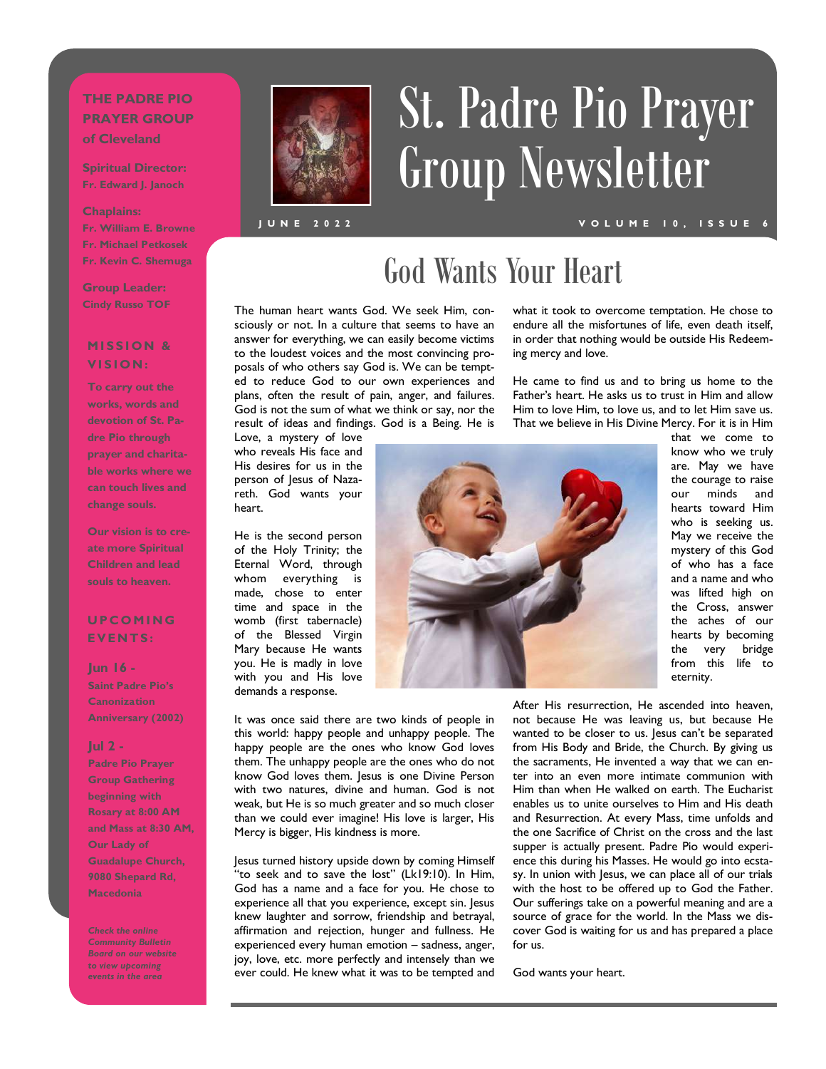### **THE PADRE PIO PRAYER GROUP of Cleveland**

**Spiritual Director: Fr. Edward J. Janoch**

#### **Chaplains:**

**Fr. William E. Browne Fr. Michael Petkosek Fr. Kevin C. Shemuga**

**Group Leader: Cindy Russo TOF**

### **MISSION & V I S I O N :**

**To carry out the works, words and devotion of St. Padre Pio through prayer and charitable works where we can touch lives and change souls.** 

**Our vision is to create more Spiritual Children and lead souls to heaven.** 

### **U P C O M I N G E V E N T S :**

**Jun 16 - Saint Padre Pio's Canonization Anniversary (2002)**

#### **Jul 2 -**

**Padre Pio Prayer Group Gathering beginning with Rosary at 8:00 AM and Mass at 8:30 AM, Our Lady of Guadalupe Church, 9080 Shepard Rd, Macedonia**

*Check the online Community Bulletin Board on our website to view upcoming events in the area*



# St. Padre Pio Prayer Group Newsletter

**J U N E 2 0 2 2**

#### **V O L U M E 1 0 , I S S U E 6**

# God Wants Your Heart

The human heart wants God. We seek Him, consciously or not. In a culture that seems to have an answer for everything, we can easily become victims to the loudest voices and the most convincing proposals of who others say God is. We can be tempted to reduce God to our own experiences and plans, often the result of pain, anger, and failures. God is not the sum of what we think or say, nor the result of ideas and findings. God is a Being. He is

Love, a mystery of love who reveals His face and His desires for us in the person of Jesus of Nazareth. God wants your heart.

He is the second person of the Holy Trinity; the Eternal Word, through whom everything is made, chose to enter time and space in the womb (first tabernacle) of the Blessed Virgin Mary because He wants you. He is madly in love with you and His love demands a response.

It was once said there are two kinds of people in this world: happy people and unhappy people. The happy people are the ones who know God loves them. The unhappy people are the ones who do not know God loves them. Jesus is one Divine Person with two natures, divine and human. God is not weak, but He is so much greater and so much closer than we could ever imagine! His love is larger, His Mercy is bigger, His kindness is more.

Jesus turned history upside down by coming Himself "to seek and to save the lost" (Lk19:10). In Him, God has a name and a face for you. He chose to experience all that you experience, except sin. Jesus knew laughter and sorrow, friendship and betrayal, affirmation and rejection, hunger and fullness. He experienced every human emotion – sadness, anger, joy, love, etc. more perfectly and intensely than we ever could. He knew what it was to be tempted and what it took to overcome temptation. He chose to endure all the misfortunes of life, even death itself, in order that nothing would be outside His Redeeming mercy and love.

He came to find us and to bring us home to the Father's heart. He asks us to trust in Him and allow Him to love Him, to love us, and to let Him save us. That we believe in His Divine Mercy. For it is in Him



that we come to know who we truly are. May we have the courage to raise our minds and hearts toward Him who is seeking us. May we receive the mystery of this God of who has a face and a name and who was lifted high on the Cross, answer the aches of our hearts by becoming the very bridge from this life to eternity.

After His resurrection, He ascended into heaven, not because He was leaving us, but because He wanted to be closer to us. Jesus can't be separated from His Body and Bride, the Church. By giving us the sacraments, He invented a way that we can enter into an even more intimate communion with Him than when He walked on earth. The Eucharist enables us to unite ourselves to Him and His death and Resurrection. At every Mass, time unfolds and the one Sacrifice of Christ on the cross and the last supper is actually present. Padre Pio would experience this during his Masses. He would go into ecstasy. In union with Jesus, we can place all of our trials with the host to be offered up to God the Father. Our sufferings take on a powerful meaning and are a source of grace for the world. In the Mass we discover God is waiting for us and has prepared a place for us.

God wants your heart.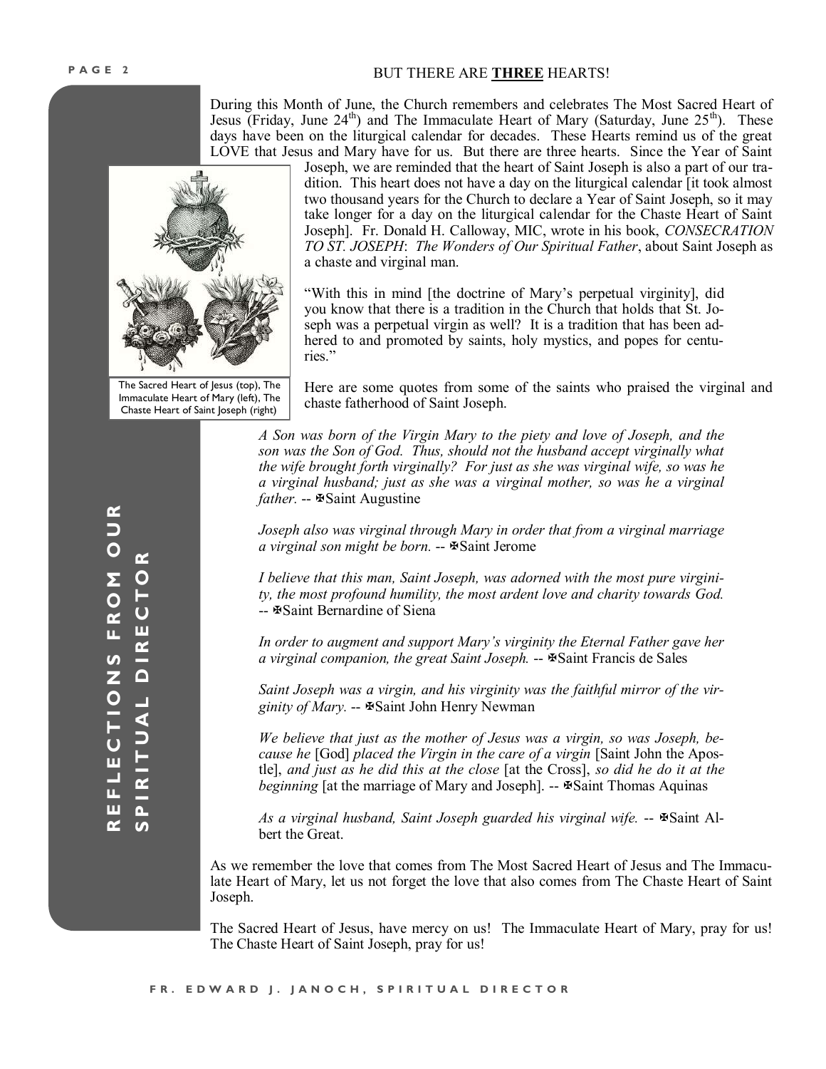#### BUT THERE ARE **THREE** HEARTS!

During this Month of June, the Church remembers and celebrates The Most Sacred Heart of Jesus (Friday, June  $24<sup>th</sup>$ ) and The Immaculate Heart of Mary (Saturday, June  $25<sup>th</sup>$ ). These days have been on the liturgical calendar for decades. These Hearts remind us of the great LOVE that Jesus and Mary have for us. But there are three hearts. Since the Year of Saint



The Sacred Heart of Jesus (top), The Immaculate Heart of Mary (left), The Chaste Heart of Saint Joseph (right)

Joseph, we are reminded that the heart of Saint Joseph is also a part of our tradition. This heart does not have a day on the liturgical calendar [it took almost two thousand years for the Church to declare a Year of Saint Joseph, so it may take longer for a day on the liturgical calendar for the Chaste Heart of Saint Joseph]. Fr. Donald H. Calloway, MIC, wrote in his book, *CONSECRATION TO ST. JOSEPH*: *The Wonders of Our Spiritual Father*, about Saint Joseph as a chaste and virginal man.

"With this in mind [the doctrine of Mary's perpetual virginity], did you know that there is a tradition in the Church that holds that St. Joseph was a perpetual virgin as well? It is a tradition that has been adhered to and promoted by saints, holy mystics, and popes for centuries."

Here are some quotes from some of the saints who praised the virginal and chaste fatherhood of Saint Joseph.

*A Son was born of the Virgin Mary to the piety and love of Joseph, and the son was the Son of God. Thus, should not the husband accept virginally what the wife brought forth virginally? For just as she was virginal wife, so was he a virginal husband; just as she was a virginal mother, so was he a virginal father.* --  $\text{Isaint}$  Augustine

*Joseph also was virginal through Mary in order that from a virginal marriage a virginal son might be born.* -- Saint Jerome

*I believe that this man, Saint Joseph, was adorned with the most pure virginity, the most profound humility, the most ardent love and charity towards God.*  -- Saint Bernardine of Siena

*In order to augment and support Mary's virginity the Eternal Father gave her a virginal companion, the great Saint Joseph.* -- Saint Francis de Sales

*Saint Joseph was a virgin, and his virginity was the faithful mirror of the virginity of Mary.* -- Saint John Henry Newman

*We believe that just as the mother of Jesus was a virgin, so was Joseph, because he* [God] *placed the Virgin in the care of a virgin* [Saint John the Apostle], *and just as he did this at the close* [at the Cross], *so did he do it at the beginning* [at the marriage of Mary and Joseph]. --  $\text{\textsterling}S$  Saint Thomas Aquinas

*As a virginal husband, Saint Joseph guarded his virginal wife.* -- Saint Albert the Great.

As we remember the love that comes from The Most Sacred Heart of Jesus and The Immaculate Heart of Mary, let us not forget the love that also comes from The Chaste Heart of Saint Joseph.

The Sacred Heart of Jesus, have mercy on us! The Immaculate Heart of Mary, pray for us! The Chaste Heart of Saint Joseph, pray for us!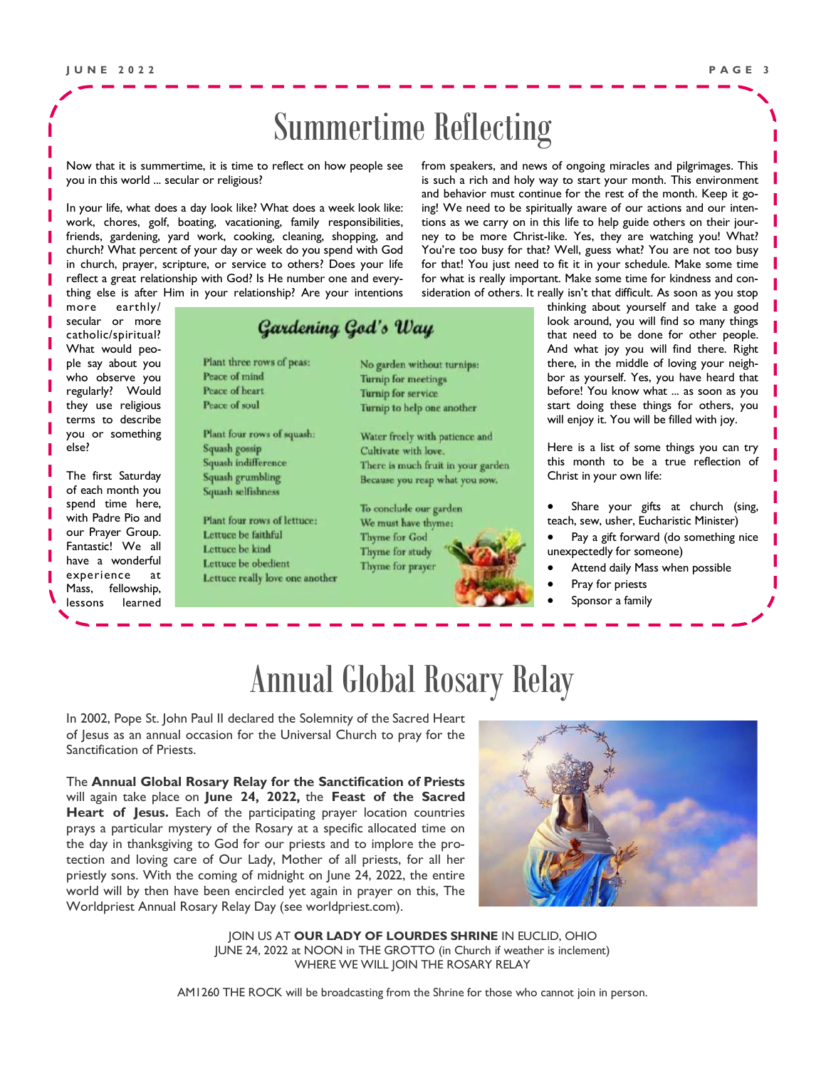### Summertime Reflecting

Now that it is summertime, it is time to reflect on how people see you in this world ... secular or religious?

In your life, what does a day look like? What does a week look like: work, chores, golf, boating, vacationing, family responsibilities, friends, gardening, yard work, cooking, cleaning, shopping, and church? What percent of your day or week do you spend with God in church, prayer, scripture, or service to others? Does your life reflect a great relationship with God? Is He number one and everything else is after Him in your relationship? Are your intentions

more earthly/ secular or more catholic/spiritual? What would people say about you who observe you regularly? Would they use religious terms to describe you or something else?

The first Saturday of each month you spend time here, with Padre Pio and our Prayer Group. Fantastic! We all have a wonderful experience at Mass, fellowship, lessons learned

### **Gardening God's Way**

Peace of mind Peace of heart Peace of soul Plant four rows of squash: Squash gossip Squash indifference Squash grumbling Squash selfishness Plant four rows of lettuce: Lettuce be faithful Lettuce be kind Lettuce be obedient

Plant three rows of peas:

Lettuce really love one another

No garden without turnips: **Turnip for meetings Turnip for service** Turnip to help one another

Water freely with patience and Cultivate with love. There is much fruit in your garden Because you reap what you sow.

To conclude our garden We must have thyme: Thyme for God Thyme for study Thyme for prayer



from speakers, and news of ongoing miracles and pilgrimages. This is such a rich and holy way to start your month. This environment and behavior must continue for the rest of the month. Keep it going! We need to be spiritually aware of our actions and our intentions as we carry on in this life to help guide others on their journey to be more Christ-like. Yes, they are watching you! What? You're too busy for that? Well, guess what? You are not too busy for that! You just need to fit it in your schedule. Make some time for what is really important. Make some time for kindness and consideration of others. It really isn't that difficult. As soon as you stop

> thinking about yourself and take a good look around, you will find so many things that need to be done for other people. And what joy you will find there. Right there, in the middle of loving your neighbor as yourself. Yes, you have heard that before! You know what ... as soon as you start doing these things for others, you will enjoy it. You will be filled with joy.

> Here is a list of some things you can try this month to be a true reflection of Christ in your own life:

Share your gifts at church (sing, teach, sew, usher, Eucharistic Minister)

• Pay a gift forward (do something nice unexpectedly for someone)

- Attend daily Mass when possible
- Pray for priests
- Sponsor a family

### Annual Global Rosary Relay

In 2002, Pope St. John Paul II declared the Solemnity of the Sacred Heart of Jesus as an annual occasion for the Universal Church to pray for the Sanctification of Priests.

The **Annual Global Rosary Relay for the Sanctification of Priests**  will again take place on **June 24, 2022,** the **Feast of the Sacred Heart of Jesus.** Each of the participating prayer location countries prays a particular mystery of the Rosary at a specific allocated time on the day in thanksgiving to God for our priests and to implore the protection and loving care of Our Lady, Mother of all priests, for all her priestly sons. With the coming of midnight on June 24, 2022, the entire world will by then have been encircled yet again in prayer on this, The Worldpriest Annual Rosary Relay Day (see worldpriest.com).



JOIN US AT **OUR LADY OF LOURDES SHRINE** IN EUCLID, OHIO JUNE 24, 2022 at NOON in THE GROTTO (in Church if weather is inclement) WHERE WE WILL JOIN THE ROSARY RELAY

AM1260 THE ROCK will be broadcasting from the Shrine for those who cannot join in person.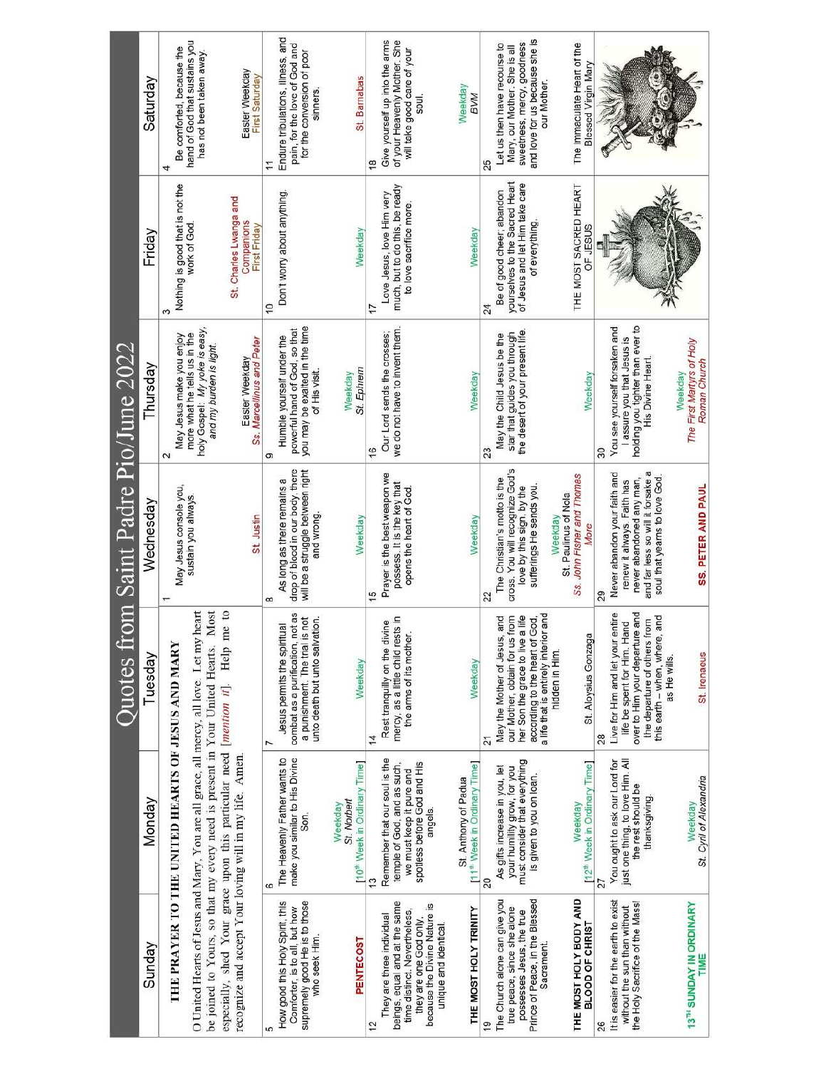| Quotes from Saint Padre Pio/June 2022 | Saturday  | hand of God that sustains you<br>Be comforted, because the<br>has not been taken away.                                                                                                                                      | Easter Weekday<br>First Saturday                                               | Endure tribulations, illness, and<br>pain, for the love of God and<br>for the conversion of poor<br>sinners.<br>H                        | St. Bamabas                                                        | $\frac{8}{1}$ | Give yourself up into the arms<br>of your Heavenly Mother. She<br>will take good care of your<br>soul.                                                                        | Weekday<br><b>BVM</b>                                            | 25 | and love for us because she is<br>sweetness, mercy, goodness<br>Let us then have recourse to<br>Mary, our Mother. She is all<br>our Mother.                                        | The Immaculate Heart of the<br><b>Blessed Virgin Mary</b>             |                                           |                                                                                                                                                   |                                                      |
|---------------------------------------|-----------|-----------------------------------------------------------------------------------------------------------------------------------------------------------------------------------------------------------------------------|--------------------------------------------------------------------------------|------------------------------------------------------------------------------------------------------------------------------------------|--------------------------------------------------------------------|---------------|-------------------------------------------------------------------------------------------------------------------------------------------------------------------------------|------------------------------------------------------------------|----|------------------------------------------------------------------------------------------------------------------------------------------------------------------------------------|-----------------------------------------------------------------------|-------------------------------------------|---------------------------------------------------------------------------------------------------------------------------------------------------|------------------------------------------------------|
|                                       | Friday    | Nothing is good that is not the<br>work of God.<br>S                                                                                                                                                                        | St. Charles Lwanga and<br>Companions<br>First Friday                           | Don't worry about anything<br>S                                                                                                          | Weekday                                                            | 7             | much, but to do this, be ready<br>Love Jesus, love Him very<br>to love sacrifice more.                                                                                        | Weekday                                                          | 24 | yourselves to the Sacred Heart<br>of Jesus and let Him take care<br>Be of good cheer, abandon<br>of everything.                                                                    | THE MOST SACRED HEART<br>OF JESUS                                     |                                           |                                                                                                                                                   |                                                      |
|                                       | Thursday  | holy Gospel: My yoke is easy,<br>more what he tells us in the<br>May Jesus make you enjoy<br>and my burden is light.<br>$\sim$                                                                                              | Ss. Marcellinus and Peter<br>Easter Weekday                                    | you may be exalted in the time<br>powerful hand of God, so that<br>Humble yourself under the<br>of His visit.<br>ග                       | St. Ephrem<br>Weekday                                              |               | we do not have to invent them.<br>Our Lord sends the crosses;                                                                                                                 | Weekday                                                          | 23 | the desert of your present life.<br>star that guides you through<br>May the Child Jesus be the                                                                                     | Weekday                                                               | You see yourself forsaken and<br>30       | holding you tighter than ever to<br>I assure you that Jesus is<br>His Divine Heart                                                                | The First Martyrs of Holy<br>Roman Church<br>Weekday |
|                                       | Wednesday | May Jesus console you,<br>sustain you always.                                                                                                                                                                               | St. Justin                                                                     | drop of blood in our body, there<br>will be a struggle between right<br>As long as there remains a<br>and wrong<br>œ                     | Weekday                                                            |               | Prayer is the best weapon we<br>possess. It is the key that<br>opens the heart of God.                                                                                        | Weekday                                                          | 22 | cross. You will recognize God's<br>The Christian's motto is the<br>sufferings He sends you.<br>love by this sign, by the                                                           | Ss. John Fisher and Thomas<br>St. Paulinus of Nola<br>Weekday<br>More | Never abandon your faith and<br>29        | and far less so will it forsake a<br>never abandoned any man,<br>soul that yearns to love God<br>renew it always. Faith has                       | <b>SS. PETER AND PAUL</b>                            |
|                                       | Tuesday   | Most                                                                                                                                                                                                                        |                                                                                | combat as a purification, not as<br>a punishment. The trial is not<br>unto death but unto salvation.<br>Jesus permits the spiritual<br>r | Weekday                                                            | 14            | mercy, as a little child rests in<br>Rest tranquilly on the divine<br>the arms of its mother.                                                                                 | Weekday                                                          | 21 | and<br>her Son the grace to live a life<br>our Mother, obtain for us from<br>according to the heart of God,<br>and<br>a life that is entirely interior<br>May the Mother of Jesus, | St. Aloysius Gonzaga<br>hidden in Him.                                | Live for Him and let your entire<br>28    | over to Him your departure and<br>and<br>the departure of others from<br>life be spent for Him. Hand<br>this earth - when, where,<br>as He wills. | St. Irenaeus                                         |
|                                       | Monday    | O United Hearts of Jesus and Mary, You are all grace, all mercy, all love. Let my heart<br>THE PRAYER TO THE UNITED HEARTS OF JESUS AND MARY<br>be joined to Yours, so that my every need is present in Your United Hearts. | especially, shed Your grace upon this particular need [mention it]. Help me to | make you similar to His Divine<br>The Heavenly Father wants to<br>Son.<br>6                                                              | [10 <sup>th</sup> Week in Ordinary Time]<br>St. Norbert<br>Weekday |               | Remember that our soul is the<br>temple of God, and as such,<br>spotless before God and His<br>we must keep it pure and<br>angels.                                            | [11 <sup>th</sup> Week in Ordinary Time]<br>St. Anthony of Padua | 20 | must consider that everything<br>your humility grow, for you<br>As gifts increase in you, let<br>is given to you on loan.                                                          | [12 <sup>th</sup> Week in Ordinary Time]<br>Weekday                   | You ought to ask our Lord for<br>27       | just one thing, to love Him. All<br>the rest should be<br>thanksgiving.                                                                           | St. Cyni of Alexandria<br>Weekday                    |
|                                       | Sunday    |                                                                                                                                                                                                                             | recognize and accept Your loving will in my life. Amen.                        | How good this Holy Spirit, this<br>supremely good He is to those<br>Comforter, is to all, but how<br>who seek Him.                       | <b>PENTECOST</b>                                                   |               | beings, equal and at the same<br>because the Divine Nature is<br>time distinct. Nevertheless,<br>They are three individual<br>they are one God only.<br>unique and identical. | THE MOST HOLY TRINITY                                            |    | Prince of Peace, in the Blessed<br>The Church alone can give you<br>true peace, since she alone<br>possesses Jesus, the true<br>Sacrament.                                         | THE MOST HOLY BODY AND<br>BLOOD OF CHRIST                             | It is easier for the earth to exist<br>26 | the Holy Sacrifice of the Mass!<br>without the sun than without                                                                                   | 13 <sup>TH</sup> SUNDAY IN ORDINARY<br>TIME          |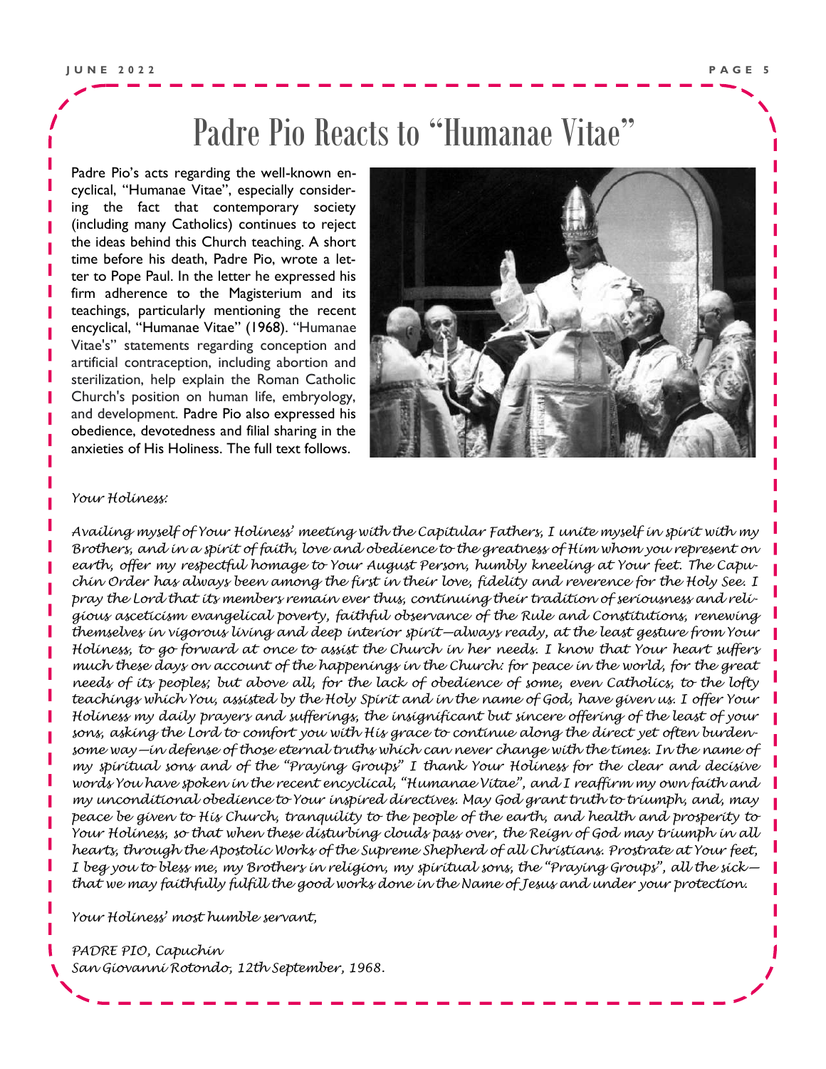### Padre Pio Reacts to "Humanae Vitae"

Padre Pio's acts regarding the well-known encyclical, "Humanae Vitae", especially considering the fact that contemporary society (including many Catholics) continues to reject the ideas behind this Church teaching. A short time before his death, Padre Pio, wrote a letter to Pope Paul. In the letter he expressed his firm adherence to the Magisterium and its teachings, particularly mentioning the recent encyclical, "Humanae Vitae" (1968). "Humanae Vitae's" statements regarding conception and artificial contraception, including abortion and sterilization, help explain the Roman Catholic Church's position on human life, embryology, and development. Padre Pio also expressed his obedience, devotedness and filial sharing in the anxieties of His Holiness. The full text follows.



#### *Your Holiness:*

*Availing myself of Your Holiness' meeting with the Capitular Fathers, I unite myself in spirit with my Brothers, and in a spirit of faith, love and obedience to the greatness of Him whom you represent on earth, offer my respectful homage to Your August Person, humbly kneeling at Your feet. The Capuchin Order has always been among the first in their love, fidelity and reverence for the Holy See. I pray the Lord that its members remain ever thus, continuing their tradition of seriousness and religious asceticism evangelical poverty, faithful observance of the Rule and Constitutions, renewing themselves in vigorous living and deep interior spirit—always ready, at the least gesture from Your Holiness, to go forward at once to assist the Church in her needs. I know that Your heart suffers much these days on account of the happenings in the Church: for peace in the world, for the great needs of its peoples; but above all, for the lack of obedience of some, even Catholics, to the lofty teachings which You, assisted by the Holy Spirit and in the name of God, have given us. I offer Your Holiness my daily prayers and sufferings, the insignificant but sincere offering of the least of your sons, asking the Lord to comfort you with His grace to continue along the direct yet often burdensome way—in defense of those eternal truths which can never change with the times. In the name of my spiritual sons and of the "Praying Groups" I thank Your Holiness for the clear and decisive words You have spoken in the recent encyclical, "Humanae Vitae", and I reaffirm my own faith and my unconditional obedience to Your inspired directives. May God grant truth to triumph, and, may peace be given to His Church, tranquility to the people of the earth, and health and prosperity to Your Holiness, so that when these disturbing clouds pass over, the Reign of God may triumph in all hearts, through the Apostolic Works of the Supreme Shepherd of all Christians. Prostrate at Your feet, I beg you to bless me, my Brothers in religion, my spiritual sons, the "Praying Groups", all the sick that we may faithfully fulfill the good works done in the Name of Jesus and under your protection.*

*Your Holiness' most humble servant,*

*PADRE PIO, Capuchin*

*San Giovanni Rotondo, 12th September, 1968.*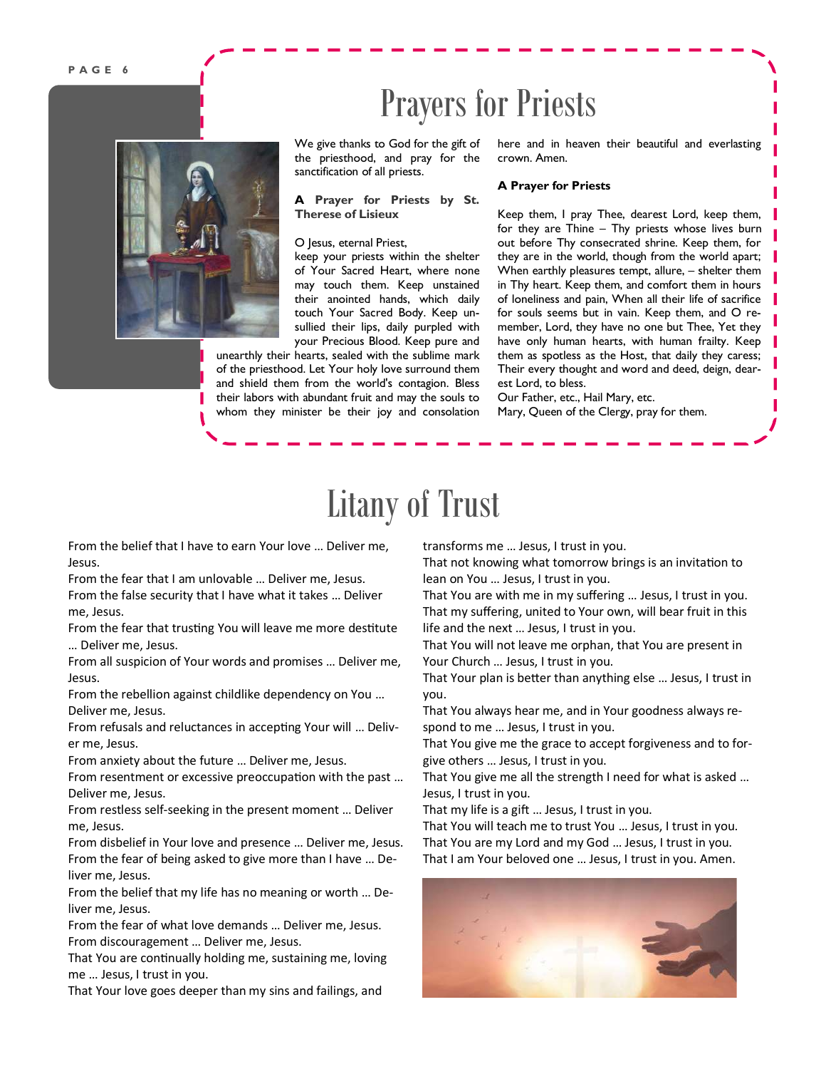# Prayers for Priests



We give thanks to God for the gift of the priesthood, and pray for the sanctification of all priests.

**A Prayer for Priests by St. Therese of Lisieux**

#### O Jesus, eternal Priest,

keep your priests within the shelter of Your Sacred Heart, where none may touch them. Keep unstained their anointed hands, which daily touch Your Sacred Body. Keep unsullied their lips, daily purpled with your Precious Blood. Keep pure and

unearthly their hearts, sealed with the sublime mark of the priesthood. Let Your holy love surround them and shield them from the world's contagion. Bless their labors with abundant fruit and may the souls to whom they minister be their joy and consolation here and in heaven their beautiful and everlasting crown. Amen.

#### **A Prayer for Priests**

Keep them, I pray Thee, dearest Lord, keep them, for they are Thine – Thy priests whose lives burn out before Thy consecrated shrine. Keep them, for they are in the world, though from the world apart; When earthly pleasures tempt, allure, – shelter them in Thy heart. Keep them, and comfort them in hours of loneliness and pain, When all their life of sacrifice for souls seems but in vain. Keep them, and O remember, Lord, they have no one but Thee, Yet they have only human hearts, with human frailty. Keep them as spotless as the Host, that daily they caress; Their every thought and word and deed, deign, dearest Lord, to bless.

Our Father, etc., Hail Mary, etc. Mary, Queen of the Clergy, pray for them.

# Litany of Trust

From the belief that I have to earn Your love … Deliver me, Jesus.

From the fear that I am unlovable … Deliver me, Jesus.

From the false security that I have what it takes … Deliver me, Jesus.

From the fear that trusting You will leave me more destitute … Deliver me, Jesus.

From all suspicion of Your words and promises … Deliver me, Jesus.

From the rebellion against childlike dependency on You … Deliver me, Jesus.

From refusals and reluctances in accepting Your will … Deliver me, Jesus.

From anxiety about the future … Deliver me, Jesus.

From resentment or excessive preoccupation with the past … Deliver me, Jesus.

From restless self-seeking in the present moment … Deliver me, Jesus.

From disbelief in Your love and presence … Deliver me, Jesus. From the fear of being asked to give more than I have … Deliver me, Jesus.

From the belief that my life has no meaning or worth … Deliver me, Jesus.

From the fear of what love demands … Deliver me, Jesus. From discouragement … Deliver me, Jesus.

That You are continually holding me, sustaining me, loving me … Jesus, I trust in you.

That Your love goes deeper than my sins and failings, and

transforms me … Jesus, I trust in you.

That not knowing what tomorrow brings is an invitation to lean on You … Jesus, I trust in you.

That You are with me in my suffering … Jesus, I trust in you. That my suffering, united to Your own, will bear fruit in this life and the next … Jesus, I trust in you.

That You will not leave me orphan, that You are present in Your Church … Jesus, I trust in you.

That Your plan is better than anything else … Jesus, I trust in you.

That You always hear me, and in Your goodness always respond to me … Jesus, I trust in you.

That You give me the grace to accept forgiveness and to forgive others … Jesus, I trust in you.

That You give me all the strength I need for what is asked … Jesus, I trust in you.

That my life is a gift … Jesus, I trust in you.

That You will teach me to trust You … Jesus, I trust in you. That You are my Lord and my God … Jesus, I trust in you. That I am Your beloved one … Jesus, I trust in you. Amen.

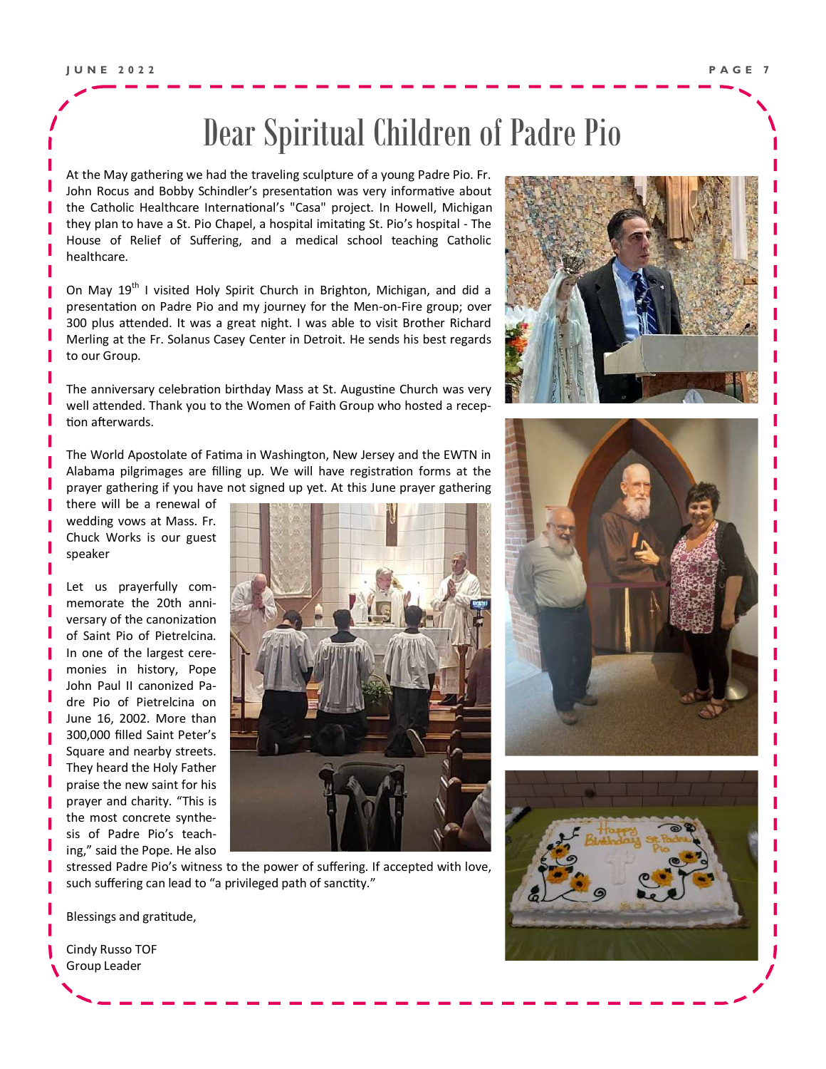# Dear Spiritual Children of Padre Pio

At the May gathering we had the traveling sculpture of a young Padre Pio. Fr. John Rocus and Bobby Schindler's presentation was very informative about the Catholic Healthcare International's "Casa" project. In Howell, Michigan they plan to have a St. Pio Chapel, a hospital imitating St. Pio's hospital - The House of Relief of Suffering, and a medical school teaching Catholic healthcare.

On May 19<sup>th</sup> I visited Holy Spirit Church in Brighton, Michigan, and did a presentation on Padre Pio and my journey for the Men-on-Fire group; over 300 plus attended. It was a great night. I was able to visit Brother Richard Merling at the Fr. Solanus Casey Center in Detroit. He sends his best regards to our Group.

The anniversary celebration birthday Mass at St. Augustine Church was very well attended. Thank you to the Women of Faith Group who hosted a reception afterwards.

The World Apostolate of Fatima in Washington, New Jersey and the EWTN in Alabama pilgrimages are filling up. We will have registration forms at the prayer gathering if you have not signed up yet. At this June prayer gathering

there will be a renewal of wedding vows at Mass. Fr. Chuck Works is our guest speaker

Let us prayerfully commemorate the 20th anniversary of the canonization of Saint Pio of Pietrelcina. In one of the largest ceremonies in history, Pope John Paul II canonized Padre Pio of Pietrelcina on June 16, 2002. More than 300,000 filled Saint Peter's Square and nearby streets. They heard the Holy Father praise the new saint for his prayer and charity. "This is the most concrete synthesis of Padre Pio's teaching," said the Pope. He also



stressed Padre Pio's witness to the power of suffering. If accepted with love, such suffering can lead to "a privileged path of sanctity."







Blessings and gratitude,

Cindy Russo TOF Group Leader